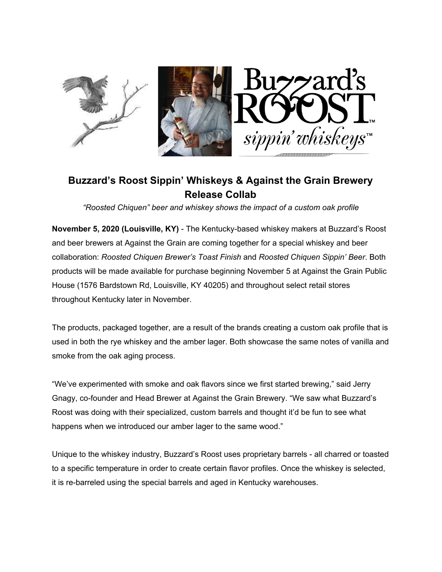

# **Buzzard's Roost Sippin' Whiskeys & Against the Grain Brewery Release Collab**

*"Roosted Chiquen" beer and whiskey shows the impact of a custom oak profile*

**November 5, 2020 (Louisville, KY)** - The Kentucky-based whiskey makers at Buzzard's Roost and beer brewers at Against the Grain are coming together for a special whiskey and beer collaboration: *Roosted Chiquen Brewer's Toast Finish* and *Roosted Chiquen Sippin' Beer*. Both products will be made available for purchase beginning November 5 at Against the Grain Public House (1576 Bardstown Rd, Louisville, KY 40205) and throughout select retail stores throughout Kentucky later in November.

The products, packaged together, are a result of the brands creating a custom oak profile that is used in both the rye whiskey and the amber lager. Both showcase the same notes of vanilla and smoke from the oak aging process.

"We've experimented with smoke and oak flavors since we first started brewing," said Jerry Gnagy, co-founder and Head Brewer at Against the Grain Brewery. "We saw what Buzzard's Roost was doing with their specialized, custom barrels and thought it'd be fun to see what happens when we introduced our amber lager to the same wood."

Unique to the whiskey industry, Buzzard's Roost uses proprietary barrels - all charred or toasted to a specific temperature in order to create certain flavor profiles. Once the whiskey is selected, it is re-barreled using the special barrels and aged in Kentucky warehouses.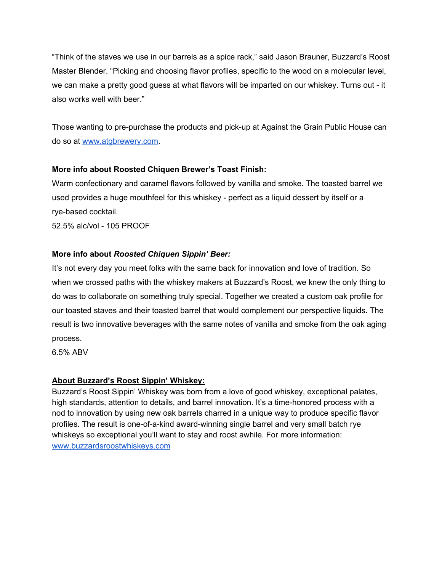"Think of the staves we use in our barrels as a spice rack," said Jason Brauner, Buzzard's Roost Master Blender. "Picking and choosing flavor profiles, specific to the wood on a molecular level, we can make a pretty good guess at what flavors will be imparted on our whiskey. Turns out - it also works well with beer."

Those wanting to pre-purchase the products and pick-up at Against the Grain Public House can do so at [www.atgbrewery.com](http://www.atgbrewery.com/).

## **More info about Roosted Chiquen Brewer's Toast Finish:**

Warm confectionary and caramel flavors followed by vanilla and smoke. The toasted barrel we used provides a huge mouthfeel for this whiskey - perfect as a liquid dessert by itself or a rye-based cocktail.

52.5% alc/vol - 105 PROOF

## **More info about** *Roosted Chiquen Sippin' Beer:*

It's not every day you meet folks with the same back for innovation and love of tradition. So when we crossed paths with the whiskey makers at Buzzard's Roost, we knew the only thing to do was to collaborate on something truly special. Together we created a custom oak profile for our toasted staves and their toasted barrel that would complement our perspective liquids. The result is two innovative beverages with the same notes of vanilla and smoke from the oak aging process.

6.5% ABV

#### **About Buzzard's Roost Sippin' Whiskey:**

Buzzard's Roost Sippin' Whiskey was born from a love of good whiskey, exceptional palates, high standards, attention to details, and barrel innovation. It's a time-honored process with a nod to innovation by using new oak barrels charred in a unique way to produce specific flavor profiles. The result is one-of-a-kind award-winning single barrel and very small batch rye whiskeys so exceptional you'll want to stay and roost awhile. For more information: [www.buzzardsroostwhiskeys.com](http://www.buzzardsroostwhiskeys.com/)